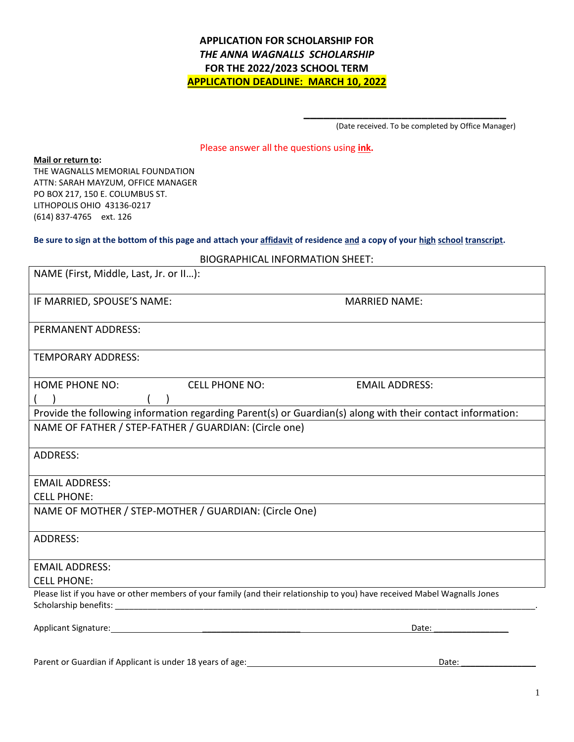## **APPLICATION FOR SCHOLARSHIP FOR** *THE ANNA WAGNALLS SCHOLARSHIP* **FOR THE 2022/2023 SCHOOL TERM APPLICATION DEADLINE: MARCH 10, 2022**

(Date received. To be completed by Office Manager)

**\_\_\_\_\_\_\_\_\_\_\_\_\_\_\_\_\_\_\_\_\_\_\_\_\_\_\_\_\_\_\_**

#### Please answer all the questions using **ink.**

**Mail or return to:**

THE WAGNALLS MEMORIAL FOUNDATION ATTN: SARAH MAYZUM, OFFICE MANAGER PO BOX 217, 150 E. COLUMBUS ST. LITHOPOLIS OHIO 43136-0217 (614) 837-4765 ext. 126

#### **Be sure to sign at the bottom of this page and attach your affidavit of residence and a copy of your high school transcript.**

| NAME (First, Middle, Last, Jr. or II):                                                                                     |                       |  |  |  |  |  |
|----------------------------------------------------------------------------------------------------------------------------|-----------------------|--|--|--|--|--|
| IF MARRIED, SPOUSE'S NAME:                                                                                                 | <b>MARRIED NAME:</b>  |  |  |  |  |  |
| PERMANENT ADDRESS:                                                                                                         |                       |  |  |  |  |  |
| <b>TEMPORARY ADDRESS:</b>                                                                                                  |                       |  |  |  |  |  |
| <b>HOME PHONE NO:</b><br><b>CELL PHONE NO:</b>                                                                             | <b>EMAIL ADDRESS:</b> |  |  |  |  |  |
|                                                                                                                            |                       |  |  |  |  |  |
| Provide the following information regarding Parent(s) or Guardian(s) along with their contact information:                 |                       |  |  |  |  |  |
| NAME OF FATHER / STEP-FATHER / GUARDIAN: (Circle one)                                                                      |                       |  |  |  |  |  |
| ADDRESS:                                                                                                                   |                       |  |  |  |  |  |
| <b>EMAIL ADDRESS:</b>                                                                                                      |                       |  |  |  |  |  |
| <b>CELL PHONE:</b>                                                                                                         |                       |  |  |  |  |  |
| NAME OF MOTHER / STEP-MOTHER / GUARDIAN: (Circle One)                                                                      |                       |  |  |  |  |  |
| <b>ADDRESS:</b>                                                                                                            |                       |  |  |  |  |  |
| <b>EMAIL ADDRESS:</b>                                                                                                      |                       |  |  |  |  |  |
| <b>CELL PHONE:</b>                                                                                                         |                       |  |  |  |  |  |
| Please list if you have or other members of your family (and their relationship to you) have received Mabel Wagnalls Jones |                       |  |  |  |  |  |
| Applicant Signature: Management of the Applicant Signature:                                                                | Date:                 |  |  |  |  |  |

Parent or Guardian if Applicant is under 18 years of age: Date: Date: Date: Date: Date: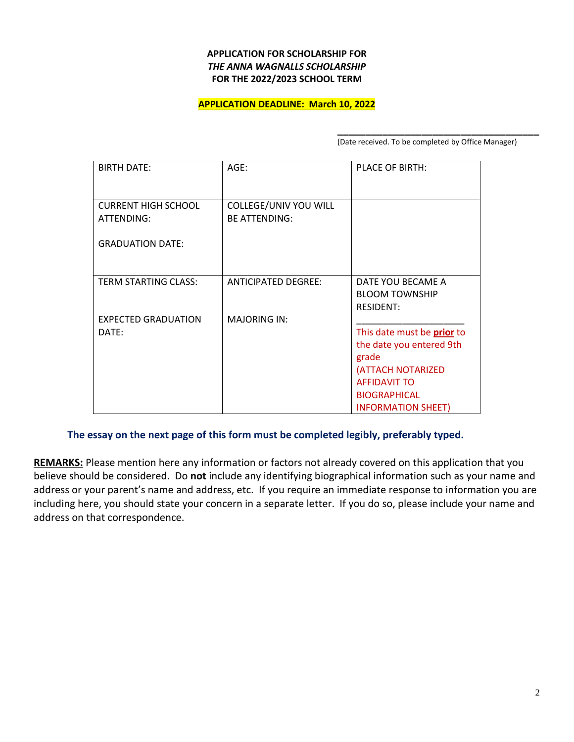#### **APPLICATION FOR SCHOLARSHIP FOR** *THE ANNA WAGNALLS SCHOLARSHIP* **FOR THE 2022/2023 SCHOOL TERM**

#### **APPLICATION DEADLINE: March 10, 2022**

**\_\_\_\_\_\_\_\_\_\_\_\_\_\_\_\_\_\_\_\_\_\_\_\_\_\_\_\_\_\_\_\_\_\_\_\_** (Date received. To be completed by Office Manager)

| <b>BIRTH DATE:</b>                       | $AGE$ :                                       | PLACE OF BIRTH:                                                                                                                                                 |
|------------------------------------------|-----------------------------------------------|-----------------------------------------------------------------------------------------------------------------------------------------------------------------|
| <b>CURRENT HIGH SCHOOL</b><br>ATTENDING: | COLLEGE/UNIV YOU WILL<br><b>BE ATTENDING:</b> |                                                                                                                                                                 |
| <b>GRADUATION DATE:</b>                  |                                               |                                                                                                                                                                 |
| <b>TERM STARTING CLASS:</b>              | <b>ANTICIPATED DEGREE:</b>                    | DATE YOU BECAME A<br><b>BLOOM TOWNSHIP</b><br><b>RESIDENT:</b>                                                                                                  |
| <b>EXPECTED GRADUATION</b><br>DATE:      | <b>MAJORING IN:</b>                           | This date must be prior to<br>the date you entered 9th<br>grade<br>(ATTACH NOTARIZED<br><b>AFFIDAVIT TO</b><br><b>BIOGRAPHICAL</b><br><b>INFORMATION SHEET)</b> |

### **The essay on the next page of this form must be completed legibly, preferably typed.**

**REMARKS:** Please mention here any information or factors not already covered on this application that you believe should be considered. Do **not** include any identifying biographical information such as your name and address or your parent's name and address, etc. If you require an immediate response to information you are including here, you should state your concern in a separate letter. If you do so, please include your name and address on that correspondence.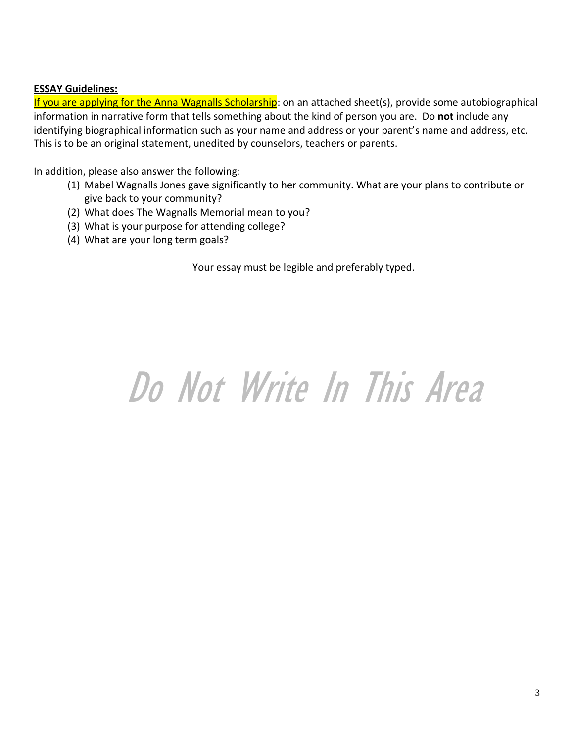# **ESSAY Guidelines:**

If you are applying for the Anna Wagnalls Scholarship: on an attached sheet(s), provide some autobiographical information in narrative form that tells something about the kind of person you are. Do **not** include any identifying biographical information such as your name and address or your parent's name and address, etc. This is to be an original statement, unedited by counselors, teachers or parents.

In addition, please also answer the following:

- (1) Mabel Wagnalls Jones gave significantly to her community. What are your plans to contribute or give back to your community?
- (2) What does The Wagnalls Memorial mean to you?
- (3) What is your purpose for attending college?
- (4) What are your long term goals?

Your essay must be legible and preferably typed.

# Do Not Write In This Area